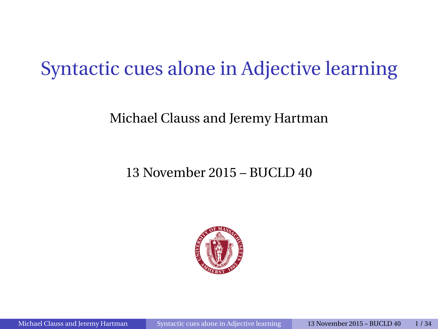# Syntactic cues alone in Adjective learning

#### Michael Clauss and Jeremy Hartman

#### 13 November 2015 – BUCLD 40

<span id="page-0-0"></span>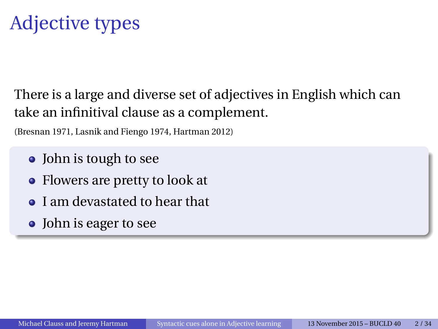# Adjective types

There is a large and diverse set of adjectives in English which can take an infinitival clause as a complement.

(Bresnan 1971, Lasnik and Fiengo 1974, Hartman 2012)

- John is tough to see
- Flowers are pretty to look at
- I am devastated to hear that
- John is eager to see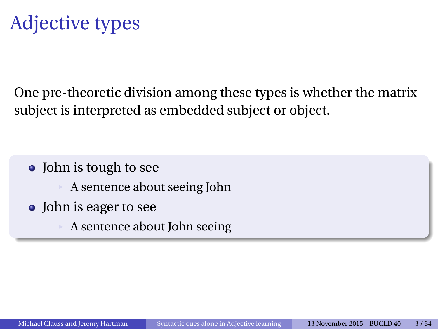One pre-theoretic division among these types is whether the matrix subject is interpreted as embedded subject or object.

- John is tough to see
	- A sentence about seeing John
- John is eager to see
	- A sentence about John seeing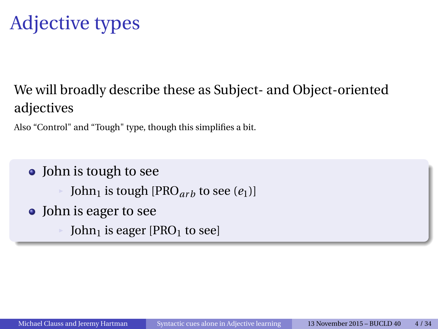# Adjective types

#### We will broadly describe these as Subject- and Object-oriented adjectives

Also "Control" and "Tough" type, though this simplifies a bit.

- John is tough to see
	- John<sub>1</sub> is tough [PRO<sub>arb</sub> to see  $(e_1)$ ]
- John is eager to see
	- John<sub>1</sub> is eager  $[PRO<sub>1</sub>$  to see]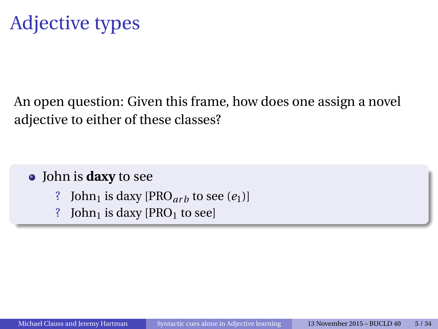An open question: Given this frame, how does one assign a novel adjective to either of these classes?

John is **daxy** to see

- ? John<sub>1</sub> is daxy  $[PRO_{arb}$  to see  $(e_1)]$
- ? John<sub>1</sub> is daxy  $[PRO<sub>1</sub>$  to see]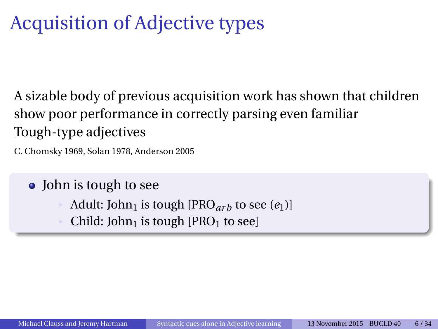# Acquisition of Adjective types

A sizable body of previous acquisition work has shown that children show poor performance in correctly parsing even familiar Tough-type adjectives

C. Chomsky 1969, Solan 1978, Anderson 2005

• John is tough to see

- Adult: John<sub>1</sub> is tough [PRO<sub>arb</sub> to see  $(e_1)$ ]
- Child: John<sub>1</sub> is tough [PRO<sub>1</sub> to see]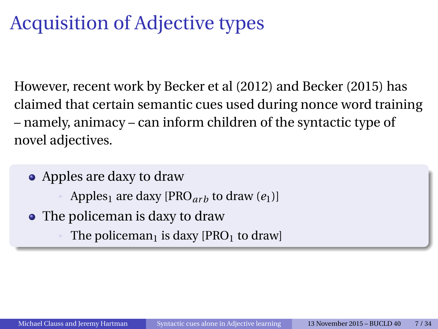# Acquisition of Adjective types

However, recent work by Becker et al (2012) and Becker (2015) has claimed that certain semantic cues used during nonce word training – namely, animacy – can inform children of the syntactic type of novel adjectives.

- Apples are daxy to draw
	- Apples<sub>1</sub> are daxy [PRO<sub>arb</sub> to draw  $(e_1)$ ]
- The policeman is daxy to draw
	- The policeman<sub>1</sub> is daxy [PRO<sub>1</sub> to draw]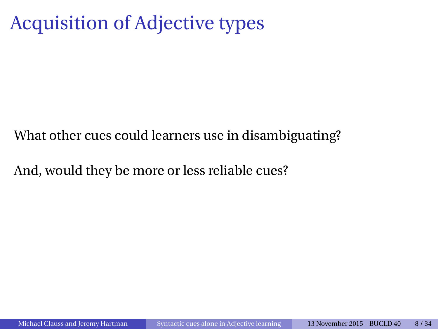# Acquisition of Adjective types

What other cues could learners use in disambiguating?

And, would they be more or less reliable cues?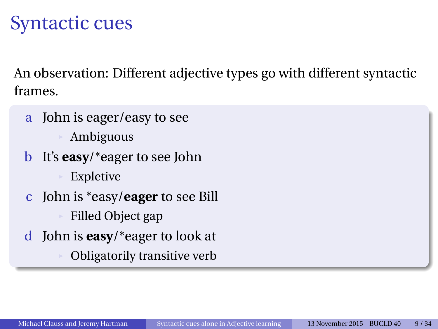# Syntactic cues

An observation: Different adjective types go with different syntactic frames.

- a John is eager/easy to see **Ambiguous**
- b It's **easy**/\*eager to see John **Expletive**
- c John is \*easy/**eager** to see Bill Filled Object gap
- d John is **easy**/\*eager to look at
	- Obligatorily transitive verb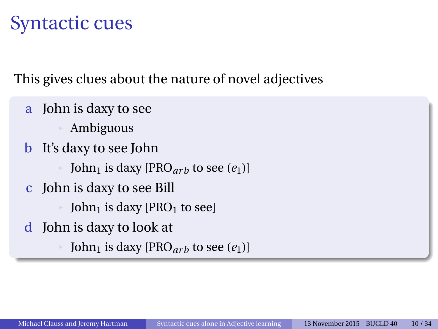# Syntactic cues

This gives clues about the nature of novel adjectives

- a John is daxy to see
	- **Ambiguous**
- b It's daxy to see John
	- John<sub>1</sub> is daxy [PRO<sub>arb</sub> to see  $(e_1)$ ]
- c John is daxy to see Bill
	- John<sub>1</sub> is daxy [PRO<sub>1</sub> to see]
- d John is daxy to look at
	- John<sub>1</sub> is daxy [PRO<sub>arb</sub> to see  $(e_1)$ ]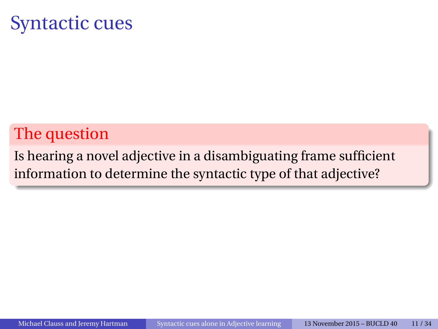### Syntactic cues

### The question

Is hearing a novel adjective in a disambiguating frame sufficient information to determine the syntactic type of that adjective?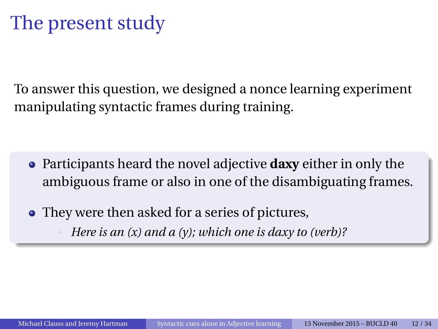To answer this question, we designed a nonce learning experiment manipulating syntactic frames during training.

- Participants heard the novel adjective **daxy** either in only the ambiguous frame or also in one of the disambiguating frames.
- They were then asked for a series of pictures, <sup>œ</sup> *Here is an (x) and a (y); which one is daxy to (verb)?*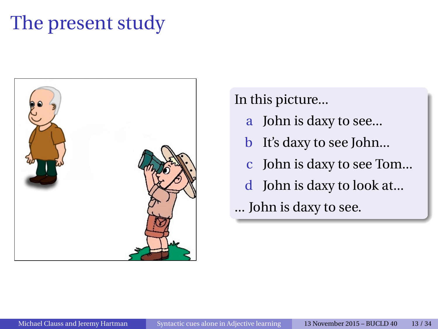

In this picture...

- a John is daxy to see...
- b It's daxy to see John...
- c John is daxy to see Tom...
- d John is daxy to look at...
- ... John is daxy to see.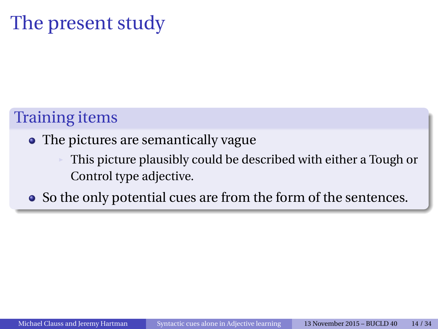#### Training items

#### • The pictures are semantically vague

This picture plausibly could be described with either a Tough or Control type adjective.

• So the only potential cues are from the form of the sentences.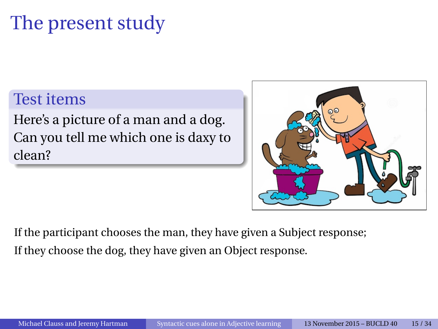#### Test items

Here's a picture of a man and a dog. Can you tell me which one is daxy to clean?



If the participant chooses the man, they have given a Subject response; If they choose the dog, they have given an Object response.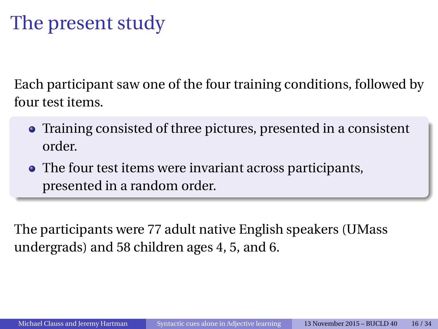Each participant saw one of the four training conditions, followed by four test items.

- Training consisted of three pictures, presented in a consistent order.
- The four test items were invariant across participants, presented in a random order.

The participants were 77 adult native English speakers (UMass undergrads) and 58 children ages 4, 5, and 6.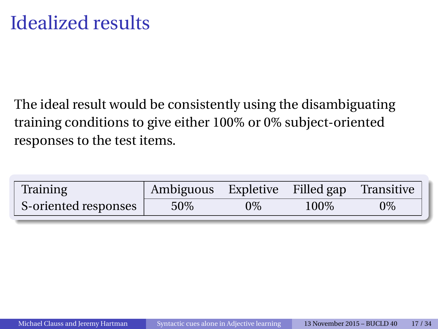The ideal result would be consistently using the disambiguating training conditions to give either 100% or 0% subject-oriented responses to the test items.

| Training             | Ambiguous Expletive Filled gap Transitive |       |      |    |
|----------------------|-------------------------------------------|-------|------|----|
| S-oriented responses | 50%                                       | $0\%$ | 100% | 0% |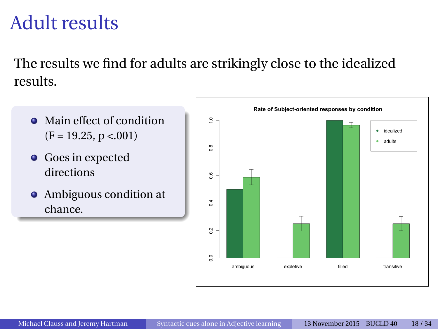### Adult results

The results we find for adults are strikingly close to the idealized results.

- Main effect of condition  $(F = 19.25, p < 001)$
- **•** Goes in expected directions
- Ambiguous condition at chance.

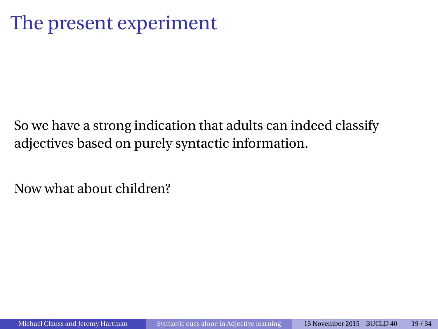# The present experiment

So we have a strong indication that adults can indeed classify adjectives based on purely syntactic information.

Now what about children?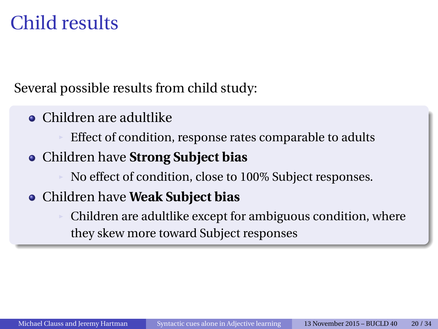Several possible results from child study:

Children are adultlike

Effect of condition, response rates comparable to adults

Children have **Strong Subject bias**

No effect of condition, close to 100% Subject responses.

#### Children have **Weak Subject bias**

Children are adultlike except for ambiguous condition, where they skew more toward Subject responses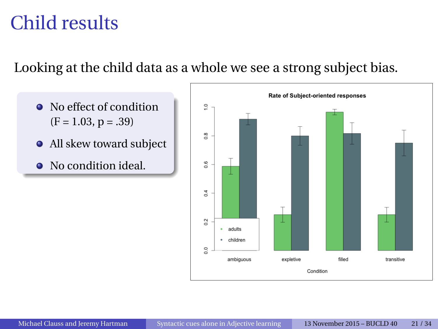#### Looking at the child data as a whole we see a strong subject bias.

- No effect of condition  $(F = 1.03, p = .39)$
- All skew toward subject
- No condition ideal.

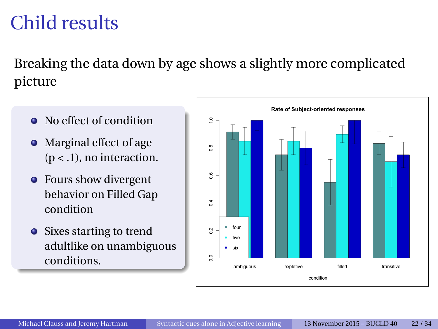Breaking the data down by age shows a slightly more complicated picture

- No effect of condition
- Marginal effect of age  $(p < .1)$ , no interaction.
- Fours show divergent behavior on Filled Gap condition
- Sixes starting to trend adultlike on unambiguous conditions.

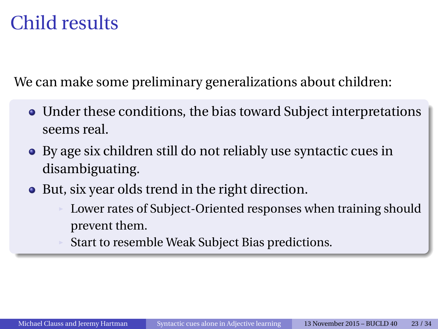We can make some preliminary generalizations about children:

- Under these conditions, the bias toward Subject interpretations seems real.
- By age six children still do not reliably use syntactic cues in disambiguating.
- But, six year olds trend in the right direction.
	- Lower rates of Subject-Oriented responses when training should prevent them.
	- Start to resemble Weak Subject Bias predictions.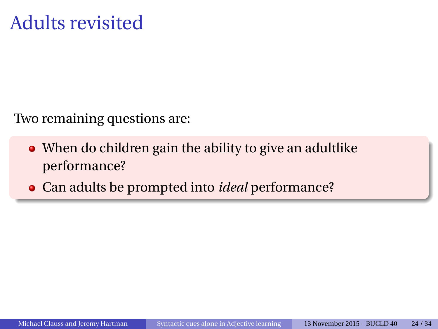Two remaining questions are:

- When do children gain the ability to give an adultlike performance?
- Can adults be prompted into *ideal* performance?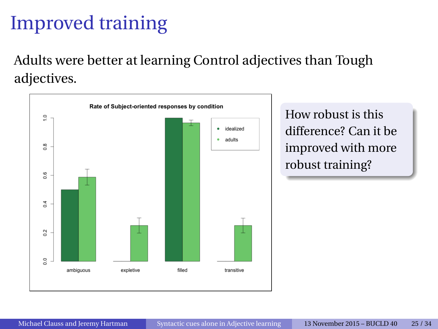# Improved training

Adults were better at learning Control adjectives than Tough adjectives.

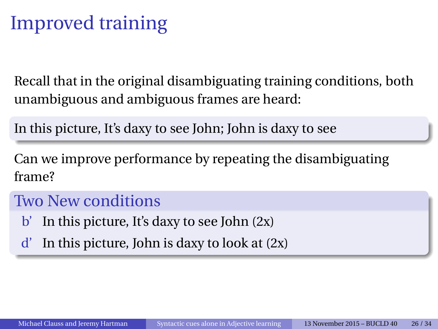# Improved training

Recall that in the original disambiguating training conditions, both unambiguous and ambiguous frames are heard:

In this picture, It's daxy to see John; John is daxy to see

Can we improve performance by repeating the disambiguating frame?

#### Two New conditions

- $\mathbf{b}'$  In this picture, It's daxy to see John (2x)
- $d'$  In this picture, John is daxy to look at  $(2x)$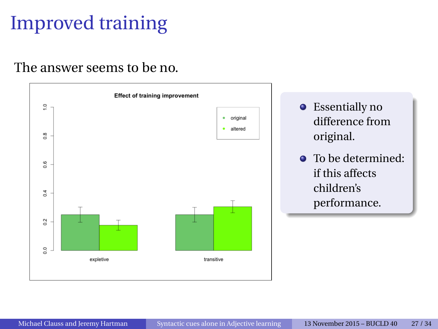# Improved training

#### The answer seems to be no.



- **•** Essentially no difference from original.
- To be determined: if this affects children's performance.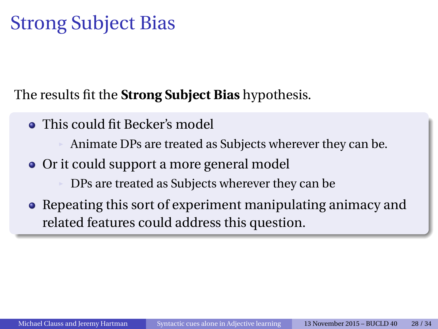# Strong Subject Bias

The results fit the **Strong Subject Bias** hypothesis.

• This could fit Becker's model

Animate DPs are treated as Subjects wherever they can be.

- Or it could support a more general model DPs are treated as Subjects wherever they can be.
- Repeating this sort of experiment manipulating animacy and related features could address this question.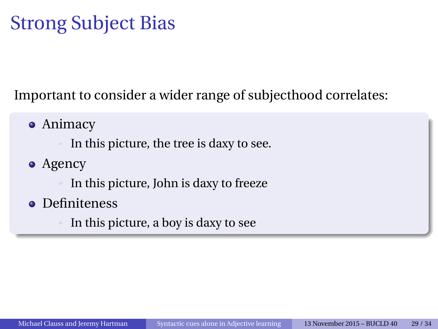# Strong Subject Bias

Important to consider a wider range of subjecthood correlates:

• Animacy

In this picture, the tree is daxy to see.

• Agency

In this picture, John is daxy to freeze

- **•** Definiteness
	- In this picture, a boy is daxy to see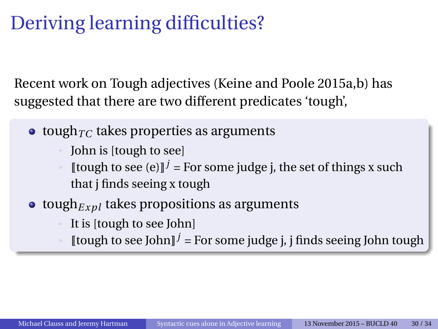# Deriving learning difficulties?

Recent work on Tough adjectives (Keine and Poole 2015a,b) has suggested that there are two different predicates 'tough',

- $\bullet$  tough<sub>*TC*</sub> takes properties as arguments
	- John is [tough to see]
	- [[tough to see (e)]<sup> $j$ </sup> = For some judge j, the set of things x such that j finds seeing x tough
- $\bullet$  tough<sub>Expl</sub> takes propositions as arguments
	- It is [tough to see John]
	- $[$ tough to see John $]$ <sup>j</sup> = For some judge j, j finds seeing John tough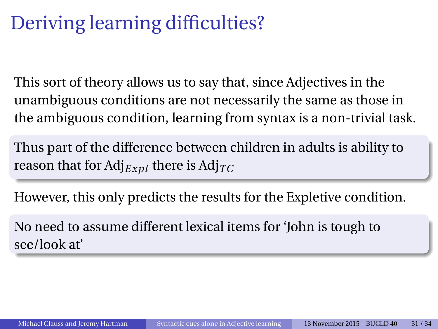# Deriving learning difficulties?

This sort of theory allows us to say that, since Adjectives in the unambiguous conditions are not necessarily the same as those in the ambiguous condition, learning from syntax is a non-trivial task.

Thus part of the difference between children in adults is ability to reason that for  $Adj_{Expl}$  there is  $Adj_{TC}$ 

However, this only predicts the results for the Expletive condition.

No need to assume different lexical items for 'John is tough to see/look at'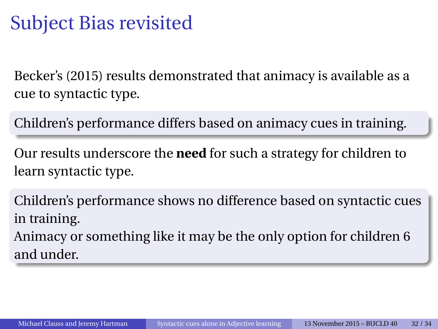# Subject Bias revisited

Becker's (2015) results demonstrated that animacy is available as a cue to syntactic type.

Children's performance differs based on animacy cues in training.

Our results underscore the **need** for such a strategy for children to learn syntactic type.

Children's performance shows no difference based on syntactic cues in training.

Animacy or something like it may be the only option for children 6 and under.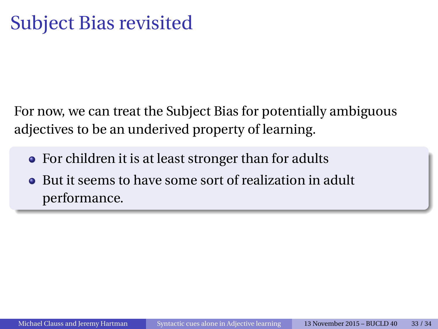For now, we can treat the Subject Bias for potentially ambiguous adjectives to be an underived property of learning.

- For children it is at least stronger than for adults
- But it seems to have some sort of realization in adult  $\bullet$ performance.